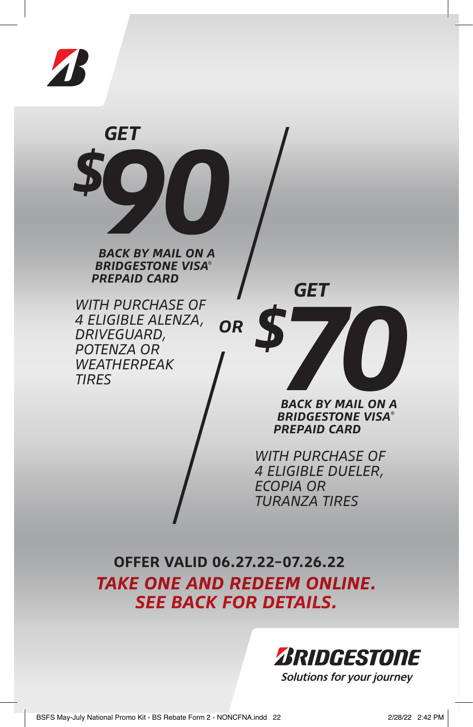

*GET \$* **90** 

*BACK BY MAIL ON A BRIDGESTONE VISA® PREPAID CARD*

*WITH PURCHASE OF 4 ELIGIBLE ALENZA, DRIVEGUARD, POTENZA OR WEATHERPEAK TIRES OR* *GET*



*BACK BY MAIL ON A BRIDGESTONE VISA® PREPAID CARD*

*WITH PURCHASE OF 4 ELIGIBLE DUELER, ECOPIA OR TURANZA TIRES* 

**OFFER VALID 06.27.22–07.26.22** *TAKE ONE AND REDEEM ONLINE. SEE BACK FOR DETAILS.*